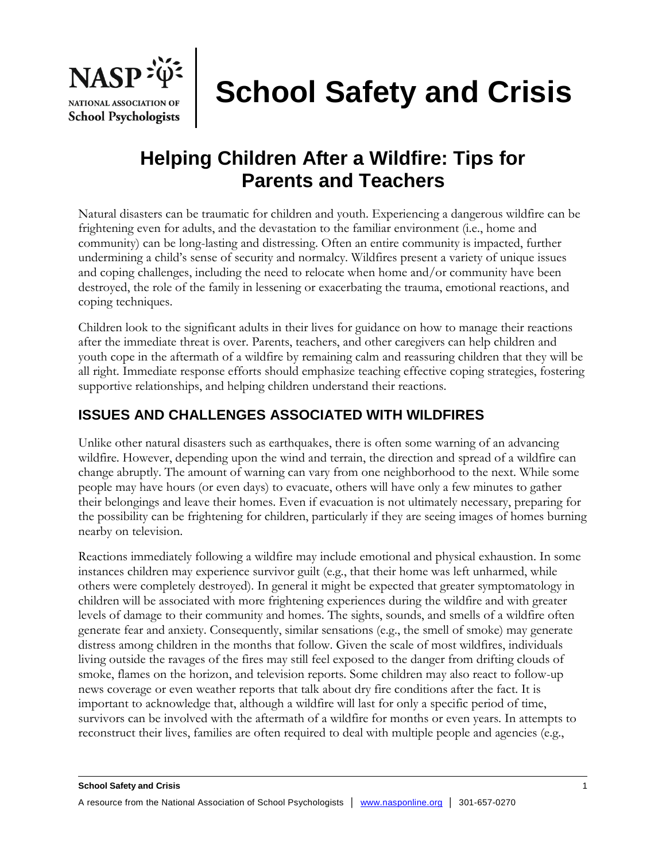

# **School Safety and Crisis**

## **Helping Children After a Wildfire: Tips for Parents and Teachers**

Natural disasters can be traumatic for children and youth. Experiencing a dangerous wildfire can be frightening even for adults, and the devastation to the familiar environment (i.e., home and community) can be long-lasting and distressing. Often an entire community is impacted, further undermining a child's sense of security and normalcy. Wildfires present a variety of unique issues and coping challenges, including the need to relocate when home and/or community have been destroyed, the role of the family in lessening or exacerbating the trauma, emotional reactions, and coping techniques.

Children look to the significant adults in their lives for guidance on how to manage their reactions after the immediate threat is over. Parents, teachers, and other caregivers can help children and youth cope in the aftermath of a wildfire by remaining calm and reassuring children that they will be all right. Immediate response efforts should emphasize teaching effective coping strategies, fostering supportive relationships, and helping children understand their reactions.

### **ISSUES AND CHALLENGES ASSOCIATED WITH WILDFIRES**

Unlike other natural disasters such as earthquakes, there is often some warning of an advancing wildfire. However, depending upon the wind and terrain, the direction and spread of a wildfire can change abruptly. The amount of warning can vary from one neighborhood to the next. While some people may have hours (or even days) to evacuate, others will have only a few minutes to gather their belongings and leave their homes. Even if evacuation is not ultimately necessary, preparing for the possibility can be frightening for children, particularly if they are seeing images of homes burning nearby on television.

Reactions immediately following a wildfire may include emotional and physical exhaustion. In some instances children may experience survivor guilt (e.g., that their home was left unharmed, while others were completely destroyed). In general it might be expected that greater symptomatology in children will be associated with more frightening experiences during the wildfire and with greater levels of damage to their community and homes. The sights, sounds, and smells of a wildfire often generate fear and anxiety. Consequently, similar sensations (e.g., the smell of smoke) may generate distress among children in the months that follow. Given the scale of most wildfires, individuals living outside the ravages of the fires may still feel exposed to the danger from drifting clouds of smoke, flames on the horizon, and television reports. Some children may also react to follow-up news coverage or even weather reports that talk about dry fire conditions after the fact. It is important to acknowledge that, although a wildfire will last for only a specific period of time, survivors can be involved with the aftermath of a wildfire for months or even years. In attempts to reconstruct their lives, families are often required to deal with multiple people and agencies (e.g.,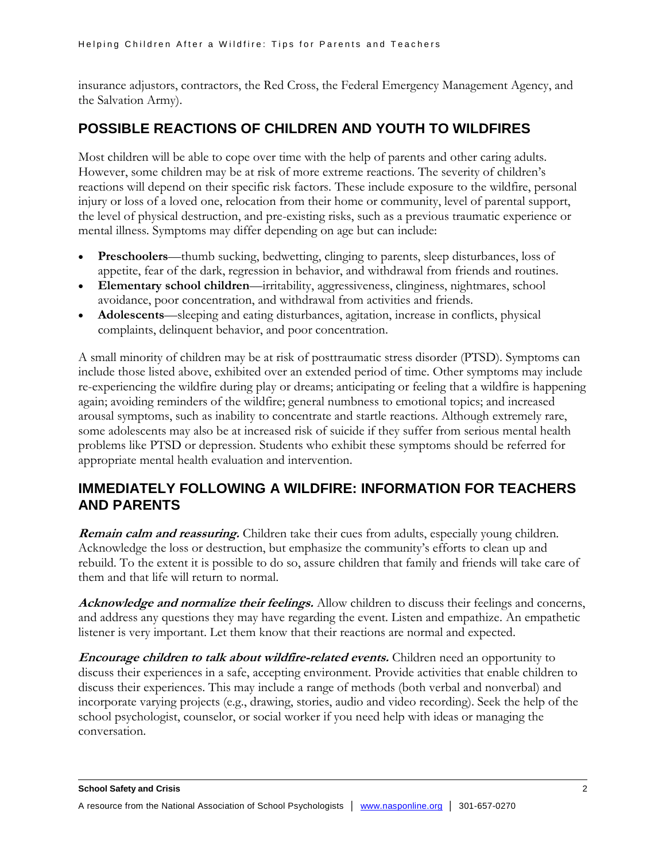insurance adjustors, contractors, the Red Cross, the Federal Emergency Management Agency, and the Salvation Army).

#### **POSSIBLE REACTIONS OF CHILDREN AND YOUTH TO WILDFIRES**

Most children will be able to cope over time with the help of parents and other caring adults. However, some children may be at risk of more extreme reactions. The severity of children's reactions will depend on their specific risk factors. These include exposure to the wildfire, personal injury or loss of a loved one, relocation from their home or community, level of parental support, the level of physical destruction, and pre-existing risks, such as a previous traumatic experience or mental illness. Symptoms may differ depending on age but can include:

- **Preschoolers**—thumb sucking, bedwetting, clinging to parents, sleep disturbances, loss of appetite, fear of the dark, regression in behavior, and withdrawal from friends and routines.
- **Elementary school children**—irritability, aggressiveness, clinginess, nightmares, school avoidance, poor concentration, and withdrawal from activities and friends.
- **Adolescents**—sleeping and eating disturbances, agitation, increase in conflicts, physical complaints, delinquent behavior, and poor concentration.

A small minority of children may be at risk of posttraumatic stress disorder (PTSD). Symptoms can include those listed above, exhibited over an extended period of time. Other symptoms may include re-experiencing the wildfire during play or dreams; anticipating or feeling that a wildfire is happening again; avoiding reminders of the wildfire; general numbness to emotional topics; and increased arousal symptoms, such as inability to concentrate and startle reactions. Although extremely rare, some adolescents may also be at increased risk of suicide if they suffer from serious mental health problems like PTSD or depression. Students who exhibit these symptoms should be referred for appropriate mental health evaluation and intervention.

#### **IMMEDIATELY FOLLOWING A WILDFIRE: INFORMATION FOR TEACHERS AND PARENTS**

**Remain calm and reassuring.** Children take their cues from adults, especially young children. Acknowledge the loss or destruction, but emphasize the community's efforts to clean up and rebuild. To the extent it is possible to do so, assure children that family and friends will take care of them and that life will return to normal.

**Acknowledge and normalize their feelings.** Allow children to discuss their feelings and concerns, and address any questions they may have regarding the event. Listen and empathize. An empathetic listener is very important. Let them know that their reactions are normal and expected.

**Encourage children to talk about wildfire-related events.** Children need an opportunity to discuss their experiences in a safe, accepting environment. Provide activities that enable children to discuss their experiences. This may include a range of methods (both verbal and nonverbal) and incorporate varying projects (e.g., drawing, stories, audio and video recording). Seek the help of the school psychologist, counselor, or social worker if you need help with ideas or managing the conversation.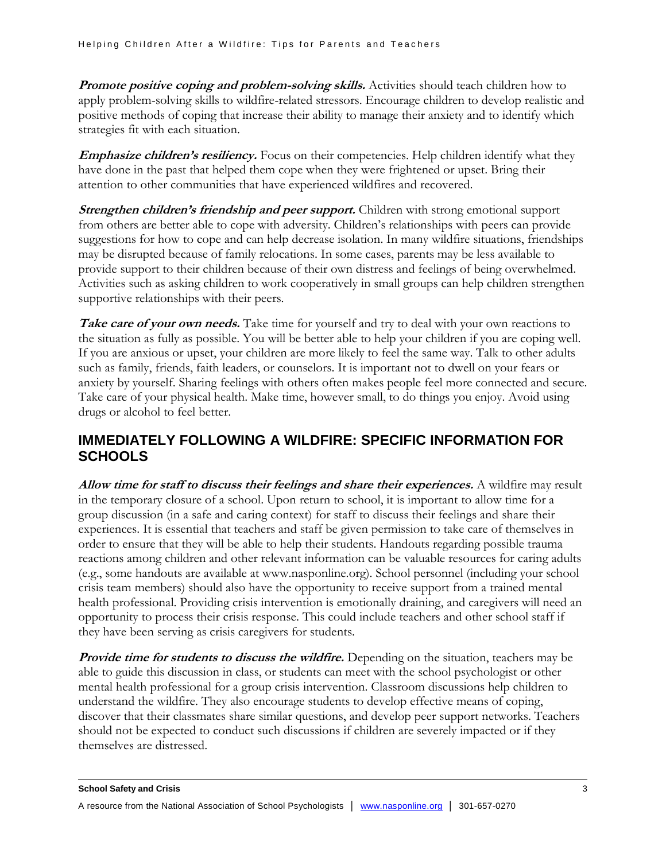**Promote positive coping and problem-solving skills.** Activities should teach children how to apply problem-solving skills to wildfire-related stressors. Encourage children to develop realistic and positive methods of coping that increase their ability to manage their anxiety and to identify which strategies fit with each situation.

**Emphasize children's resiliency.** Focus on their competencies. Help children identify what they have done in the past that helped them cope when they were frightened or upset. Bring their attention to other communities that have experienced wildfires and recovered.

**Strengthen children's friendship and peer support.** Children with strong emotional support from others are better able to cope with adversity. Children's relationships with peers can provide suggestions for how to cope and can help decrease isolation. In many wildfire situations, friendships may be disrupted because of family relocations. In some cases, parents may be less available to provide support to their children because of their own distress and feelings of being overwhelmed. Activities such as asking children to work cooperatively in small groups can help children strengthen supportive relationships with their peers.

**Take care of your own needs.** Take time for yourself and try to deal with your own reactions to the situation as fully as possible. You will be better able to help your children if you are coping well. If you are anxious or upset, your children are more likely to feel the same way. Talk to other adults such as family, friends, faith leaders, or counselors. It is important not to dwell on your fears or anxiety by yourself. Sharing feelings with others often makes people feel more connected and secure. Take care of your physical health. Make time, however small, to do things you enjoy. Avoid using drugs or alcohol to feel better.

#### **IMMEDIATELY FOLLOWING A WILDFIRE: SPECIFIC INFORMATION FOR SCHOOLS**

**Allow time for staff to discuss their feelings and share their experiences.** A wildfire may result in the temporary closure of a school. Upon return to school, it is important to allow time for a group discussion (in a safe and caring context) for staff to discuss their feelings and share their experiences. It is essential that teachers and staff be given permission to take care of themselves in order to ensure that they will be able to help their students. Handouts regarding possible trauma reactions among children and other relevant information can be valuable resources for caring adults (e.g., some handouts are available at www.nasponline.org). School personnel (including your school crisis team members) should also have the opportunity to receive support from a trained mental health professional. Providing crisis intervention is emotionally draining, and caregivers will need an opportunity to process their crisis response. This could include teachers and other school staff if they have been serving as crisis caregivers for students.

**Provide time for students to discuss the wildfire.** Depending on the situation, teachers may be able to guide this discussion in class, or students can meet with the school psychologist or other mental health professional for a group crisis intervention. Classroom discussions help children to understand the wildfire. They also encourage students to develop effective means of coping, discover that their classmates share similar questions, and develop peer support networks. Teachers should not be expected to conduct such discussions if children are severely impacted or if they themselves are distressed.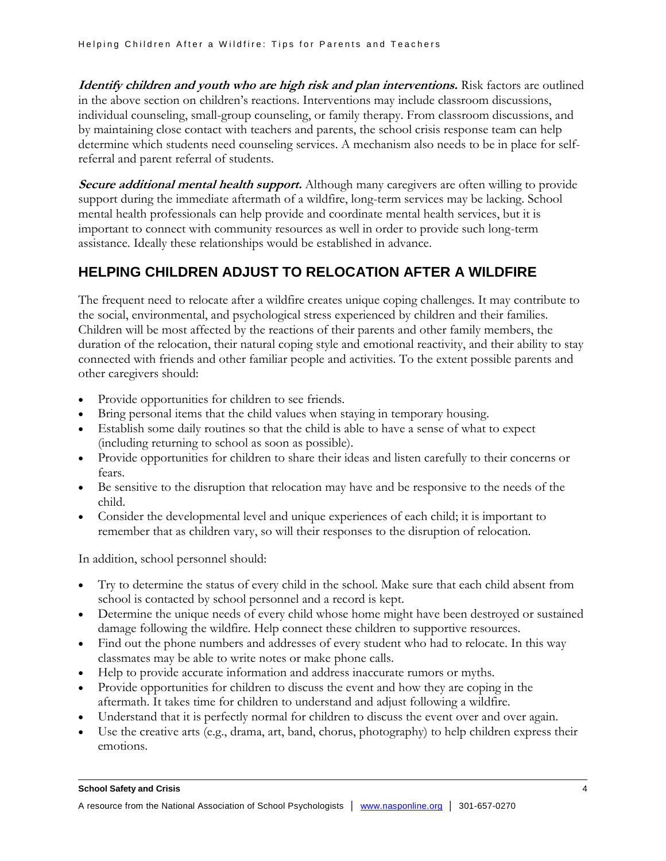**Identify children and youth who are high risk and plan interventions.** Risk factors are outlined in the above section on children's reactions. Interventions may include classroom discussions, individual counseling, small-group counseling, or family therapy. From classroom discussions, and by maintaining close contact with teachers and parents, the school crisis response team can help determine which students need counseling services. A mechanism also needs to be in place for selfreferral and parent referral of students.

**Secure additional mental health support.** Although many caregivers are often willing to provide support during the immediate aftermath of a wildfire, long-term services may be lacking. School mental health professionals can help provide and coordinate mental health services, but it is important to connect with community resources as well in order to provide such long-term assistance. Ideally these relationships would be established in advance.

#### **HELPING CHILDREN ADJUST TO RELOCATION AFTER A WILDFIRE**

The frequent need to relocate after a wildfire creates unique coping challenges. It may contribute to the social, environmental, and psychological stress experienced by children and their families. Children will be most affected by the reactions of their parents and other family members, the duration of the relocation, their natural coping style and emotional reactivity, and their ability to stay connected with friends and other familiar people and activities. To the extent possible parents and other caregivers should:

- Provide opportunities for children to see friends.
- Bring personal items that the child values when staying in temporary housing.
- Establish some daily routines so that the child is able to have a sense of what to expect (including returning to school as soon as possible).
- Provide opportunities for children to share their ideas and listen carefully to their concerns or fears.
- Be sensitive to the disruption that relocation may have and be responsive to the needs of the child.
- Consider the developmental level and unique experiences of each child; it is important to remember that as children vary, so will their responses to the disruption of relocation.

In addition, school personnel should:

- Try to determine the status of every child in the school. Make sure that each child absent from school is contacted by school personnel and a record is kept.
- Determine the unique needs of every child whose home might have been destroyed or sustained damage following the wildfire. Help connect these children to supportive resources.
- Find out the phone numbers and addresses of every student who had to relocate. In this way classmates may be able to write notes or make phone calls.
- Help to provide accurate information and address inaccurate rumors or myths.
- Provide opportunities for children to discuss the event and how they are coping in the aftermath. It takes time for children to understand and adjust following a wildfire.
- Understand that it is perfectly normal for children to discuss the event over and over again.
- Use the creative arts (e.g., drama, art, band, chorus, photography) to help children express their emotions.

#### **School Safety and Crisis** 4